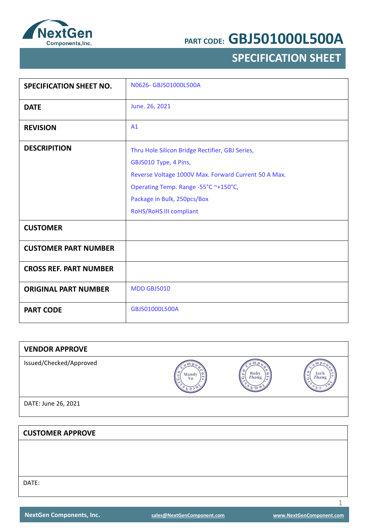

## **SPECIFICATION SHEET**

| <b>SPECIFICATION SHEET NO.</b> | N0626- GBJ501000L500A                                |
|--------------------------------|------------------------------------------------------|
| <b>DATE</b>                    | June. 26, 2021                                       |
| <b>REVISION</b>                | A1                                                   |
| <b>DESCRIPITION</b>            | Thru Hole Silicon Bridge Rectifier, GBJ Series,      |
|                                | GBJ5010 Type, 4 Pins,                                |
|                                | Reverse Voltage 1000V Max. Forward Current 50 A Max. |
|                                | Operating Temp. Range -55°C ~+150°C,                 |
|                                | Package in Bulk, 250pcs/Box                          |
|                                | RoHS/RoHS III compliant                              |
| <b>CUSTOMER</b>                |                                                      |
| <b>CUSTOMER PART NUMBER</b>    |                                                      |
| <b>CROSS REF. PART NUMBER</b>  |                                                      |
| <b>ORIGINAL PART NUMBER</b>    | <b>MDD GBJ5010</b>                                   |
| <b>PART CODE</b>               | GBJ501000L500A                                       |

| <b>VENDOR APPROVE</b>   |             |               |               |
|-------------------------|-------------|---------------|---------------|
| Issued/Checked/Approved | Mandy<br>Xu | Ruby<br>Zhang | Jack<br>Zhang |
| DATE: June 26, 2021     |             |               |               |
|                         |             |               |               |
| <b>CUSTOMER APPROVE</b> |             |               |               |
|                         |             |               |               |
|                         |             |               |               |
|                         |             |               |               |
| DATE:                   |             |               |               |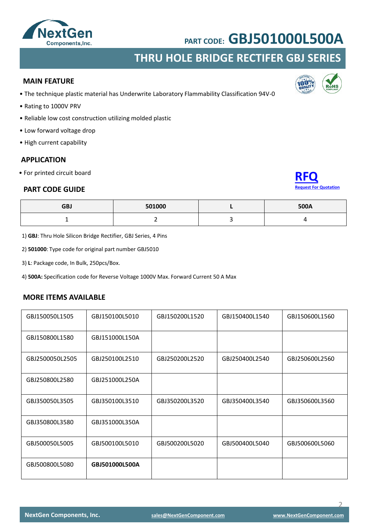

### **THRU HOLE BRIDGE RECTIFER GBJ SERIES**

#### **MAIN FEATURE**

- The technique plastic material has Underwrite Laboratory Flammability Classification 94V-0
- Rating to 1000V PRV
- Reliable low cost construction utilizing molded plastic
- Low forward voltage drop
- High current capability

#### **APPLICATION**

• For printed circuit board

#### **PART CODE GUIDE**

| <b>Request For Quotation</b> |
|------------------------------|

| GBJ | 501000 | <b>500A</b> |
|-----|--------|-------------|
|     |        |             |

1) **GBJ**: Thru Hole Silicon Bridge Rectifier, GBJ Series, 4 Pins

2) **501000**: Type code for original part number GBJ5010

3) **L**: Package code, In Bulk, 250pcs/Box.

4) **500A:** Specification code for Reverse Voltage 1000V Max. Forward Current 50 A Max

#### **MORE ITEMS AVAILABLE**

| GBJ150050L1505  | GBJ150100L5010 | GBJ150200L1520 | GBJ150400L1540 | GBJ150600L1560 |
|-----------------|----------------|----------------|----------------|----------------|
| GBJ150800L1580  | GBJ151000L150A |                |                |                |
| GBJ2500050L2505 | GBJ250100L2510 | GBJ250200L2520 | GBJ250400L2540 | GBJ250600L2560 |
| GBJ250800L2580  | GBJ251000L250A |                |                |                |
| GBJ350050L3505  | GBJ350100L3510 | GBJ350200L3520 | GBJ350400L3540 | GBJ350600L3560 |
| GBJ350800L3580  | GBJ351000L350A |                |                |                |
| GBJ500050L5005  | GBJ500100L5010 | GBJ500200L5020 | GBJ500400L5040 | GBJ500600L5060 |
| GBJ500800L5080  | GBJ501000L500A |                |                |                |

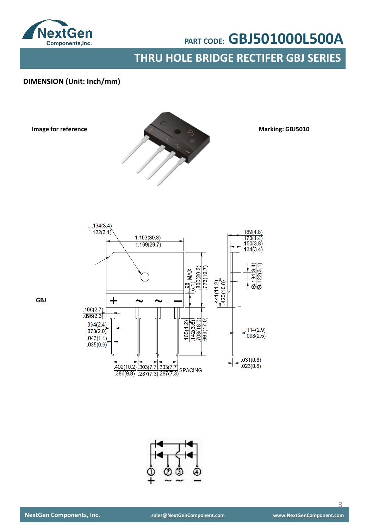

**THRU HOLE BRIDGE RECTIFER GBJ SERIES**

### **DIMENSION (Unit: Inch/mm)**

**Image for reference**



**Marking: GBJ5010**



**GBJ**



 $\overline{a}$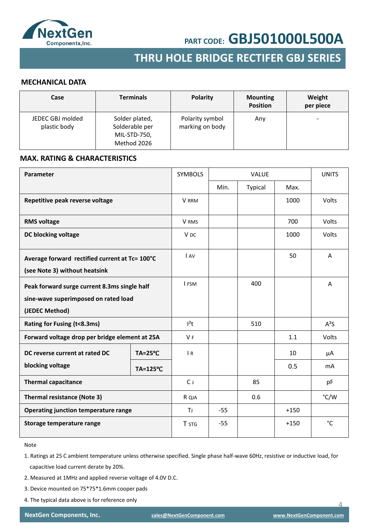

### **SMD SCHOTTKY BARRIER RECTIFER SMD GENERAL RECTIFER THRU HOLE BRIDGE RECTIFER GBJ SERIES**

#### **MECHANICAL DATA**

| Case                             | <b>Terminals</b>                                                | <b>Polarity</b>                    | <b>Mounting</b><br><b>Position</b> | Weight<br>per piece      |
|----------------------------------|-----------------------------------------------------------------|------------------------------------|------------------------------------|--------------------------|
| JEDEC GBJ molded<br>plastic body | Solder plated,<br>Solderable per<br>MIL-STD-750,<br>Method 2026 | Polarity symbol<br>marking on body | Any                                | $\overline{\phantom{0}}$ |

#### **MAX. RATING & CHARACTERISTICS**

| Parameter                                                                                              |                     | <b>SYMBOLS</b>  | <b>VALUE</b> |         |        | <b>UNITS</b>   |
|--------------------------------------------------------------------------------------------------------|---------------------|-----------------|--------------|---------|--------|----------------|
|                                                                                                        |                     |                 | Min.         | Typical | Max.   |                |
| Repetitive peak reverse voltage                                                                        |                     | <b>V</b> RRM    |              |         | 1000   | Volts          |
| <b>RMS voltage</b>                                                                                     |                     | V RMS           |              |         | 700    | Volts          |
| DC blocking voltage                                                                                    |                     | V <sub>DC</sub> |              |         | 1000   | Volts          |
| Average forward rectified current at Tc= 100°C<br>(see Note 3) without heatsink                        |                     | I AV            |              |         | 50     | A              |
| Peak forward surge current 8.3ms single half<br>sine-wave superimposed on rated load<br>(JEDEC Method) |                     | I FSM           |              | 400     |        | A              |
| Rating for Fusing (t<8.3ms)                                                                            |                     | $l^2t$          |              | 510     |        | $A^2S$         |
| Forward voltage drop per bridge element at 25A                                                         |                     | V <sub>F</sub>  |              |         | 1.1    | Volts          |
| DC reverse current at rated DC                                                                         | $TA = 25^{\circ}C$  | $\overline{R}$  |              |         | 10     | μA             |
| blocking voltage                                                                                       | $TA = 125^{\circ}C$ |                 |              |         | 0.5    | m <sub>A</sub> |
| <b>Thermal capacitance</b>                                                                             |                     | $C_{J}$         |              | 85      |        | pF             |
| <b>Thermal resistance (Note 3)</b>                                                                     |                     | R QJA           |              | 0.6     |        | °C/W           |
| Operating junction temperature range                                                                   |                     | TJ.             | $-55$        |         | $+150$ |                |
| Storage temperature range                                                                              |                     | T STG           | $-55$        |         | $+150$ | °C             |

Note

1. Ratings at 25 C ambient temperature unless otherwise specified. Single phase half-wave 60Hz, resistive or inductive load, for capacitive load current derate by 20%.

- 2. Measured at 1MHz and applied reverse voltage of 4.0V D.C.
- 3. Device mounted on 75\*75\*1.6mm cooper pads
- 4. The typical data above is for reference only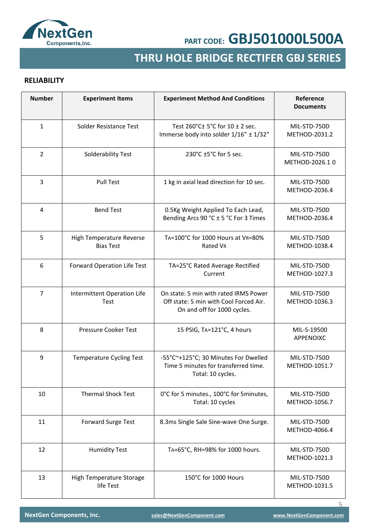

## **SMD GENERAL RECTIFER THRU HOLE BRIDGE RECTIFER GBJ SERIES**

### **RELIABILITY**

| <b>Number</b>  | <b>Experiment Items</b>                      | <b>Experiment Method And Conditions</b>                                                                        | Reference<br><b>Documents</b>  |
|----------------|----------------------------------------------|----------------------------------------------------------------------------------------------------------------|--------------------------------|
| $\mathbf{1}$   | Solder Resistance Test                       | Test 260°C± 5°C for 10 ± 2 sec.<br>Immerse body into solder 1/16" ± 1/32"                                      | MIL-STD-750D<br>METHOD-2031.2  |
| $\overline{2}$ | Solderability Test                           | 230°C ±5°C for 5 sec.                                                                                          | MIL-STD-750D<br>METHOD-2026.10 |
| 3              | <b>Pull Test</b>                             | 1 kg in axial lead direction for 10 sec.                                                                       | MIL-STD-750D<br>METHOD-2036.4  |
| 4              | <b>Bend Test</b>                             | 0.5Kg Weight Applied To Each Lead,<br>Bending Arcs 90 °C ± 5 °C For 3 Times                                    | MIL-STD-750D<br>METHOD-2036.4  |
| 5              | High Temperature Reverse<br><b>Bias Test</b> | TA=100°C for 1000 Hours at VR=80%<br>Rated VR                                                                  | MIL-STD-750D<br>METHOD-1038.4  |
| 6              | Forward Operation Life Test                  | TA=25°C Rated Average Rectified<br>Current                                                                     | MIL-STD-750D<br>METHOD-1027.3  |
| $\overline{7}$ | Intermittent Operation Life<br>Test          | On state: 5 min with rated IRMS Power<br>Off state: 5 min with Cool Forced Air.<br>On and off for 1000 cycles. | MIL-STD-750D<br>METHOD-1036.3  |
| 8              | Pressure Cooker Test                         | 15 PSIG, TA=121°C, 4 hours                                                                                     | MIL-S-19500<br>APPENOIXC       |
| 9              | <b>Temperature Cycling Test</b>              | -55°C~+125°C; 30 Minutes For Dwelled<br>Time 5 minutes for transferred time.<br>Total: 10 cycles.              | MIL-STD-750D<br>METHOD-1051.7  |
| 10             | <b>Thermal Shock Test</b>                    | 0°C for 5 minutes., 100°C for 5 minutes,<br>Total: 10 cycles                                                   | MIL-STD-750D<br>METHOD-1056.7  |
| 11             | <b>Forward Surge Test</b>                    | 8.3ms Single Sale Sine-wave One Surge.                                                                         | MIL-STD-750D<br>METHOD-4066.4  |
| 12             | <b>Humidity Test</b>                         | TA=65°C, RH=98% for 1000 hours.                                                                                | MIL-STD-750D<br>METHOD-1021.3  |
| 13             | High Temperature Storage<br>life Test        | 150°C for 1000 Hours                                                                                           | MIL-STD-750D<br>METHOD-1031.5  |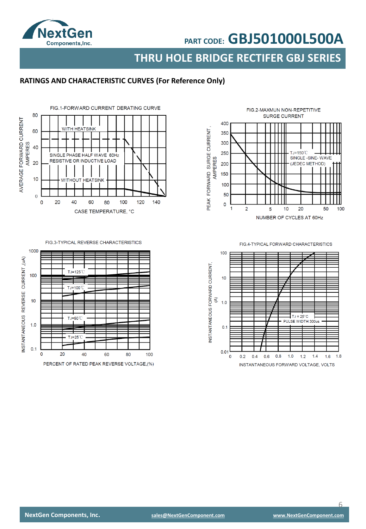

**THRU HOLE BRIDGE RECTIFER GBJ SERIES**

### **RATINGS AND CHARACTERISTIC CURVES (For Reference Only)**



#### FIG 3-TYPICAL REVERSE CHARACTERISTICS



FIG.2-MAXMUN NON-REPETITIVE SURGE CURRENT 400 PEAK FORWARD SURGE CURRENT,<br>AMPERES 350 300 250  $TJ = 150^{\circ}$ SINGLE -SINE-WAVE (JEDEC METHOD) 200 150 100 50  $\mathsf{O}\xspace$ 1  $\overline{2}$  $10$ 20 50 100 5 NUMBER OF CYCLES AT 60Hz

FIG.4-TYPICAL FORWARD CHARACTERISTICS